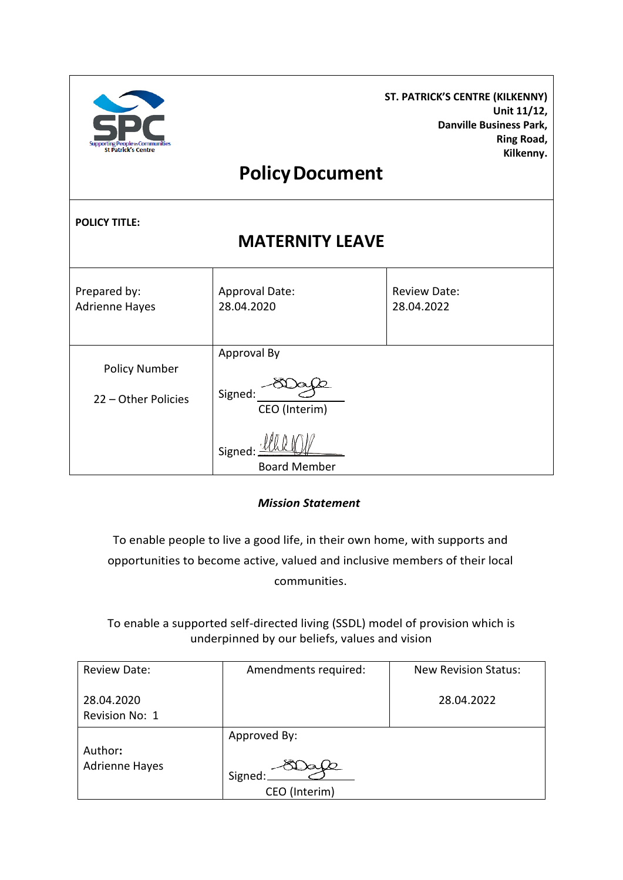| <b>Supporting People in Communities</b><br><b>St Patrick's Centre</b> | <b>Policy Document</b>                                                   | ST. PATRICK'S CENTRE (KILKENNY)<br>Unit 11/12,<br><b>Danville Business Park,</b><br>Ring Road,<br>Kilkenny. |  |  |
|-----------------------------------------------------------------------|--------------------------------------------------------------------------|-------------------------------------------------------------------------------------------------------------|--|--|
| <b>POLICY TITLE:</b><br><b>MATERNITY LEAVE</b>                        |                                                                          |                                                                                                             |  |  |
| Prepared by:<br><b>Adrienne Hayes</b>                                 | Approval Date:<br>28.04.2020                                             | <b>Review Date:</b><br>28.04.2022                                                                           |  |  |
| <b>Policy Number</b><br>22 - Other Policies                           | Approval By<br>Signed:<br>CEO (Interim)<br>Signed<br><b>Board Member</b> |                                                                                                             |  |  |

*Mission Statement*

To enable people to live a good life, in their own home, with supports and opportunities to become active, valued and inclusive members of their local communities.

To enable a supported self-directed living (SSDL) model of provision which is underpinned by our beliefs, values and vision

| <b>Review Date:</b>              | Amendments required:                     | <b>New Revision Status:</b> |
|----------------------------------|------------------------------------------|-----------------------------|
| 28.04.2020<br>Revision No: 1     |                                          | 28.04.2022                  |
| Author:<br><b>Adrienne Hayes</b> | Approved By:<br>Signed:<br>CEO (Interim) |                             |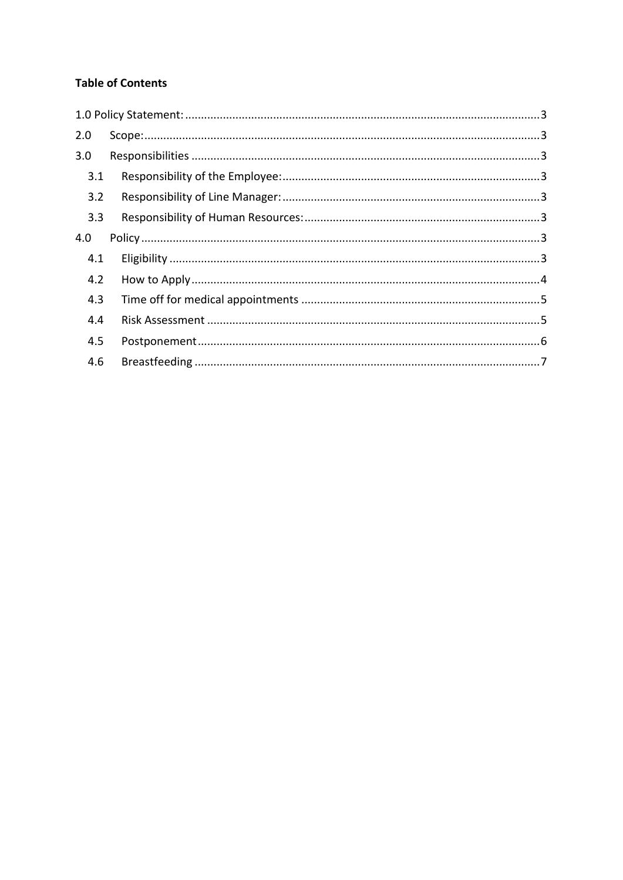# **Table of Contents**

| 2.0 |  |
|-----|--|
| 3.0 |  |
| 3.1 |  |
| 3.2 |  |
| 3.3 |  |
| 4.0 |  |
| 4.1 |  |
| 4.2 |  |
| 4.3 |  |
| 4.4 |  |
| 4.5 |  |
| 4.6 |  |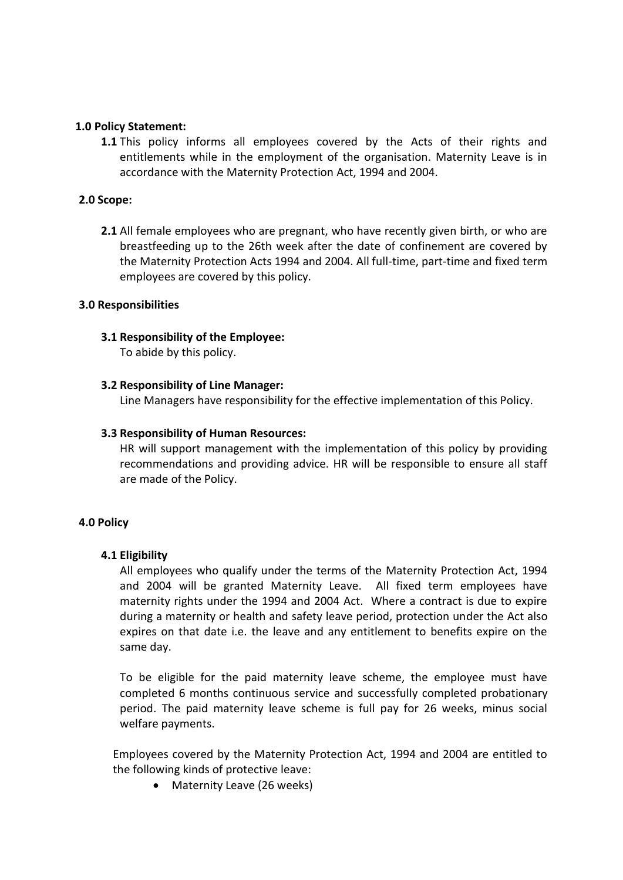## <span id="page-2-0"></span>**1.0 Policy Statement:**

**1.1** This policy informs all employees covered by the Acts of their rights and entitlements while in the employment of the organisation. Maternity Leave is in accordance with the Maternity Protection Act, 1994 and 2004.

## <span id="page-2-1"></span>**2.0 Scope:**

**2.1** All female employees who are pregnant, who have recently given birth, or who are breastfeeding up to the 26th week after the date of confinement are covered by the Maternity Protection Acts 1994 and 2004. All full-time, part-time and fixed term employees are covered by this policy.

## <span id="page-2-2"></span>**3.0 Responsibilities**

## <span id="page-2-3"></span>**3.1 Responsibility of the Employee:**

To abide by this policy.

## <span id="page-2-4"></span>**3.2 Responsibility of Line Manager:**

Line Managers have responsibility for the effective implementation of this Policy.

## <span id="page-2-5"></span>**3.3 Responsibility of Human Resources:**

HR will support management with the implementation of this policy by providing recommendations and providing advice. HR will be responsible to ensure all staff are made of the Policy.

## <span id="page-2-6"></span>**4.0 Policy**

## <span id="page-2-7"></span>**4.1 Eligibility**

All employees who qualify under the terms of the Maternity Protection Act, 1994 and 2004 will be granted Maternity Leave. All fixed term employees have maternity rights under the 1994 and 2004 Act. Where a contract is due to expire during a maternity or health and safety leave period, protection under the Act also expires on that date i.e. the leave and any entitlement to benefits expire on the same day.

To be eligible for the paid maternity leave scheme, the employee must have completed 6 months continuous service and successfully completed probationary period. The paid maternity leave scheme is full pay for 26 weeks, minus social welfare payments.

Employees covered by the Maternity Protection Act, 1994 and 2004 are entitled to the following kinds of protective leave:

• Maternity Leave (26 weeks)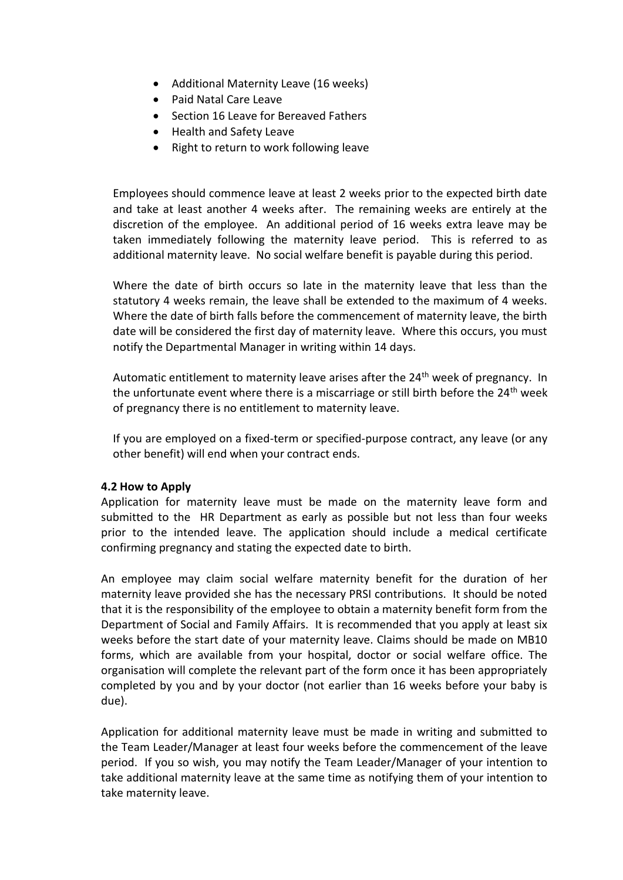- Additional Maternity Leave (16 weeks)
- Paid Natal Care Leave
- Section 16 Leave for Bereaved Fathers
- Health and Safety Leave
- Right to return to work following leave

Employees should commence leave at least 2 weeks prior to the expected birth date and take at least another 4 weeks after. The remaining weeks are entirely at the discretion of the employee. An additional period of 16 weeks extra leave may be taken immediately following the maternity leave period. This is referred to as additional maternity leave. No social welfare benefit is payable during this period.

Where the date of birth occurs so late in the maternity leave that less than the statutory 4 weeks remain, the leave shall be extended to the maximum of 4 weeks. Where the date of birth falls before the commencement of maternity leave, the birth date will be considered the first day of maternity leave. Where this occurs, you must notify the Departmental Manager in writing within 14 days.

Automatic entitlement to maternity leave arises after the  $24<sup>th</sup>$  week of pregnancy. In the unfortunate event where there is a miscarriage or still birth before the 24<sup>th</sup> week of pregnancy there is no entitlement to maternity leave.

If you are employed on a fixed-term or specified-purpose contract, any leave (or any other benefit) will end when your contract ends.

## <span id="page-3-0"></span>**4.2 How to Apply**

Application for maternity leave must be made on the maternity leave form and submitted to the HR Department as early as possible but not less than four weeks prior to the intended leave. The application should include a medical certificate confirming pregnancy and stating the expected date to birth.

An employee may claim social welfare maternity benefit for the duration of her maternity leave provided she has the necessary PRSI contributions. It should be noted that it is the responsibility of the employee to obtain a maternity benefit form from the Department of Social and Family Affairs. It is recommended that you apply at least six weeks before the start date of your maternity leave. Claims should be made on MB10 forms, which are available from your hospital, doctor or social welfare office. The organisation will complete the relevant part of the form once it has been appropriately completed by you and by your doctor (not earlier than 16 weeks before your baby is due).

Application for additional maternity leave must be made in writing and submitted to the Team Leader/Manager at least four weeks before the commencement of the leave period. If you so wish, you may notify the Team Leader/Manager of your intention to take additional maternity leave at the same time as notifying them of your intention to take maternity leave.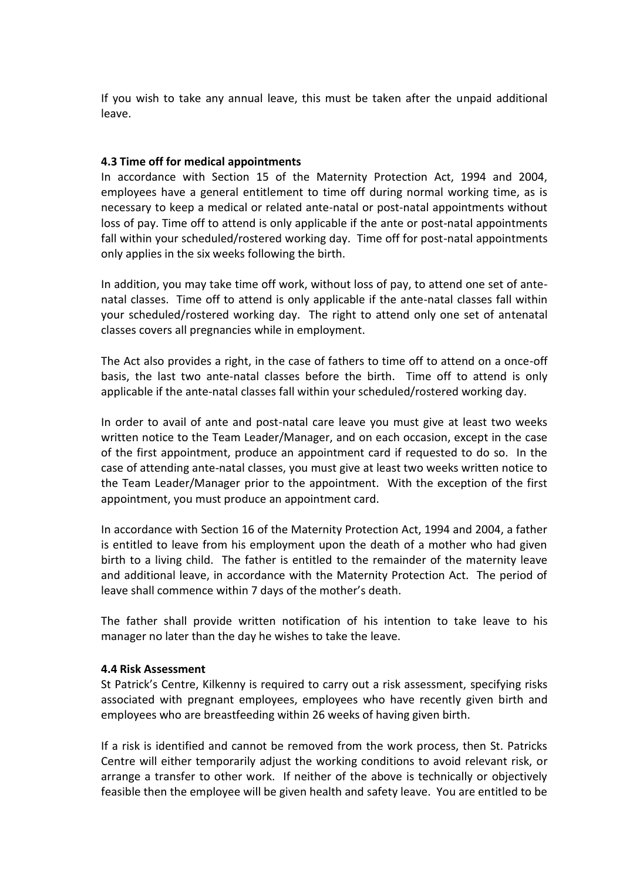If you wish to take any annual leave, this must be taken after the unpaid additional leave.

## <span id="page-4-0"></span>**4.3 Time off for medical appointments**

In accordance with Section 15 of the Maternity Protection Act, 1994 and 2004, employees have a general entitlement to time off during normal working time, as is necessary to keep a medical or related ante-natal or post-natal appointments without loss of pay. Time off to attend is only applicable if the ante or post-natal appointments fall within your scheduled/rostered working day. Time off for post-natal appointments only applies in the six weeks following the birth.

In addition, you may take time off work, without loss of pay, to attend one set of antenatal classes. Time off to attend is only applicable if the ante-natal classes fall within your scheduled/rostered working day. The right to attend only one set of antenatal classes covers all pregnancies while in employment.

The Act also provides a right, in the case of fathers to time off to attend on a once-off basis, the last two ante-natal classes before the birth. Time off to attend is only applicable if the ante-natal classes fall within your scheduled/rostered working day.

In order to avail of ante and post-natal care leave you must give at least two weeks written notice to the Team Leader/Manager, and on each occasion, except in the case of the first appointment, produce an appointment card if requested to do so. In the case of attending ante-natal classes, you must give at least two weeks written notice to the Team Leader/Manager prior to the appointment. With the exception of the first appointment, you must produce an appointment card.

In accordance with Section 16 of the Maternity Protection Act, 1994 and 2004, a father is entitled to leave from his employment upon the death of a mother who had given birth to a living child. The father is entitled to the remainder of the maternity leave and additional leave, in accordance with the Maternity Protection Act. The period of leave shall commence within 7 days of the mother's death.

The father shall provide written notification of his intention to take leave to his manager no later than the day he wishes to take the leave.

## <span id="page-4-1"></span>**4.4 Risk Assessment**

St Patrick's Centre, Kilkenny is required to carry out a risk assessment, specifying risks associated with pregnant employees, employees who have recently given birth and employees who are breastfeeding within 26 weeks of having given birth.

If a risk is identified and cannot be removed from the work process, then St. Patricks Centre will either temporarily adjust the working conditions to avoid relevant risk, or arrange a transfer to other work. If neither of the above is technically or objectively feasible then the employee will be given health and safety leave. You are entitled to be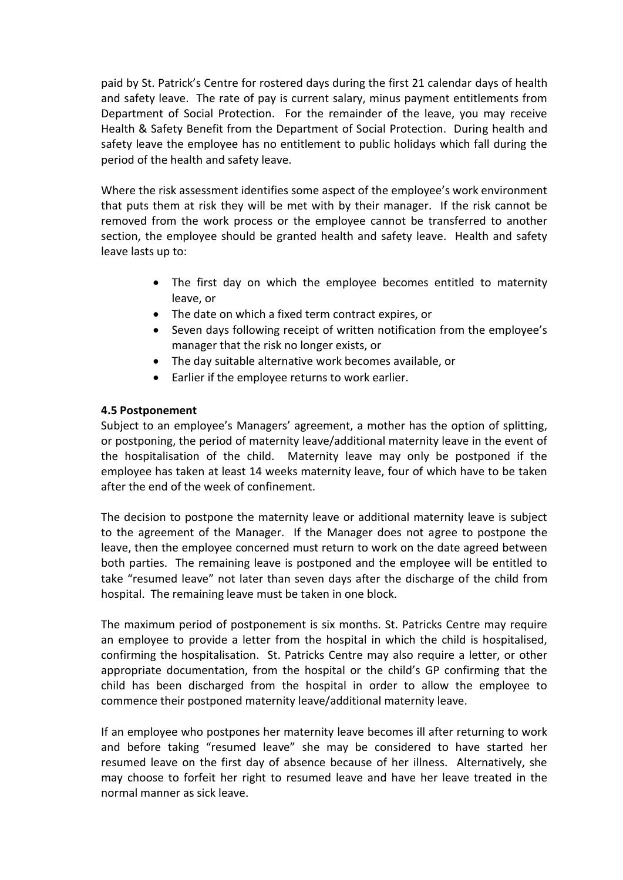paid by St. Patrick's Centre for rostered days during the first 21 calendar days of health and safety leave. The rate of pay is current salary, minus payment entitlements from Department of Social Protection. For the remainder of the leave, you may receive Health & Safety Benefit from the Department of Social Protection. During health and safety leave the employee has no entitlement to public holidays which fall during the period of the health and safety leave.

Where the risk assessment identifies some aspect of the employee's work environment that puts them at risk they will be met with by their manager. If the risk cannot be removed from the work process or the employee cannot be transferred to another section, the employee should be granted health and safety leave. Health and safety leave lasts up to:

- The first day on which the employee becomes entitled to maternity leave, or
- The date on which a fixed term contract expires, or
- Seven days following receipt of written notification from the employee's manager that the risk no longer exists, or
- The day suitable alternative work becomes available, or
- Earlier if the employee returns to work earlier.

## <span id="page-5-0"></span>**4.5 Postponement**

Subject to an employee's Managers' agreement, a mother has the option of splitting, or postponing, the period of maternity leave/additional maternity leave in the event of the hospitalisation of the child. Maternity leave may only be postponed if the employee has taken at least 14 weeks maternity leave, four of which have to be taken after the end of the week of confinement.

The decision to postpone the maternity leave or additional maternity leave is subject to the agreement of the Manager. If the Manager does not agree to postpone the leave, then the employee concerned must return to work on the date agreed between both parties. The remaining leave is postponed and the employee will be entitled to take "resumed leave" not later than seven days after the discharge of the child from hospital. The remaining leave must be taken in one block.

The maximum period of postponement is six months. St. Patricks Centre may require an employee to provide a letter from the hospital in which the child is hospitalised, confirming the hospitalisation. St. Patricks Centre may also require a letter, or other appropriate documentation, from the hospital or the child's GP confirming that the child has been discharged from the hospital in order to allow the employee to commence their postponed maternity leave/additional maternity leave.

If an employee who postpones her maternity leave becomes ill after returning to work and before taking "resumed leave" she may be considered to have started her resumed leave on the first day of absence because of her illness. Alternatively, she may choose to forfeit her right to resumed leave and have her leave treated in the normal manner as sick leave.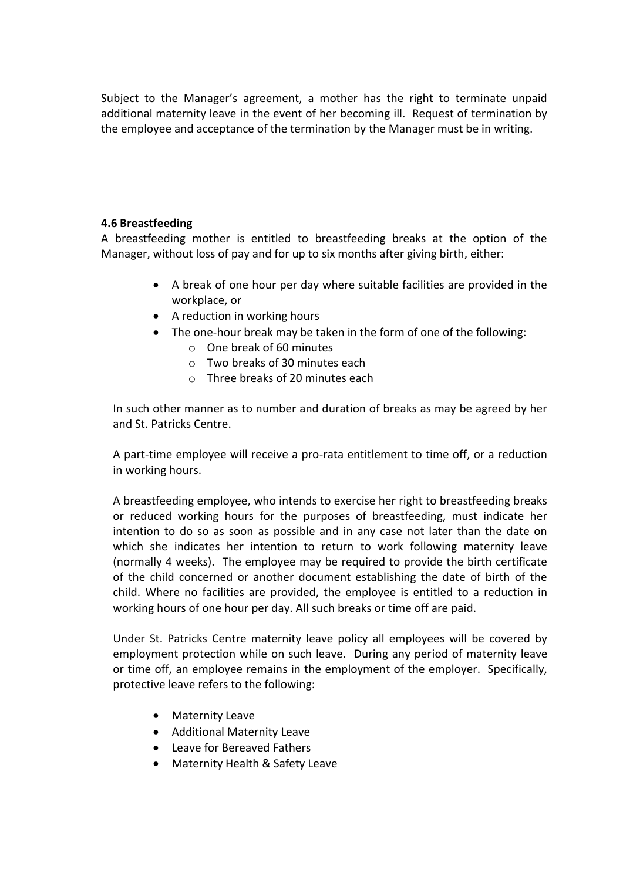Subject to the Manager's agreement, a mother has the right to terminate unpaid additional maternity leave in the event of her becoming ill. Request of termination by the employee and acceptance of the termination by the Manager must be in writing.

# <span id="page-6-0"></span>**4.6 Breastfeeding**

A breastfeeding mother is entitled to breastfeeding breaks at the option of the Manager, without loss of pay and for up to six months after giving birth, either:

- A break of one hour per day where suitable facilities are provided in the workplace, or
- A reduction in working hours
- The one-hour break may be taken in the form of one of the following:
	- o One break of 60 minutes
	- $\circ$  Two breaks of 30 minutes each
	- o Three breaks of 20 minutes each

In such other manner as to number and duration of breaks as may be agreed by her and St. Patricks Centre.

A part-time employee will receive a pro-rata entitlement to time off, or a reduction in working hours.

A breastfeeding employee, who intends to exercise her right to breastfeeding breaks or reduced working hours for the purposes of breastfeeding, must indicate her intention to do so as soon as possible and in any case not later than the date on which she indicates her intention to return to work following maternity leave (normally 4 weeks). The employee may be required to provide the birth certificate of the child concerned or another document establishing the date of birth of the child. Where no facilities are provided, the employee is entitled to a reduction in working hours of one hour per day. All such breaks or time off are paid.

Under St. Patricks Centre maternity leave policy all employees will be covered by employment protection while on such leave. During any period of maternity leave or time off, an employee remains in the employment of the employer. Specifically, protective leave refers to the following:

- Maternity Leave
- Additional Maternity Leave
- Leave for Bereaved Fathers
- Maternity Health & Safety Leave